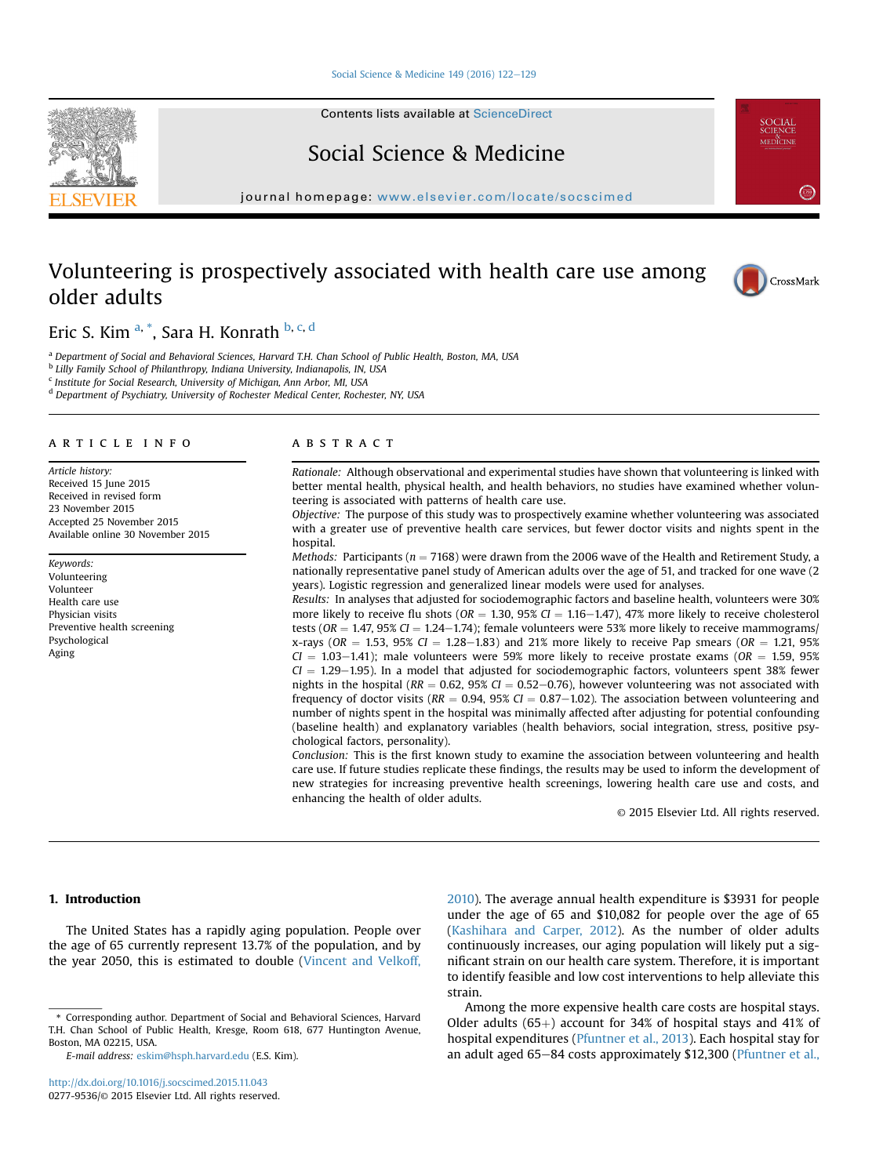#### Social Science & Medicine  $149$  (2016)  $122-129$  $122-129$

Contents lists available at [ScienceDirect](www.sciencedirect.com/science/journal/02779536)

# Social Science & Medicine

journal homepage: [www.elsevier.com/locate/socscimed](http://www.elsevier.com/locate/socscimed)

## Volunteering is prospectively associated with health care use among older adults



<sup>a</sup> Department of Social and Behavioral Sciences, Harvard T.H. Chan School of Public Health, Boston, MA, USA

**b Lilly Family School of Philanthropy, Indiana University, Indianapolis, IN, USA** 

<sup>c</sup> Institute for Social Research, University of Michigan, Ann Arbor, MI, USA

<sup>d</sup> Department of Psychiatry, University of Rochester Medical Center, Rochester, NY, USA

#### article info

Article history: Received 15 June 2015 Received in revised form 23 November 2015 Accepted 25 November 2015 Available online 30 November 2015

Keywords: Volunteering Volunteer Health care use Physician visits Preventive health screening Psychological Aging

## ABSTRACT

Rationale: Although observational and experimental studies have shown that volunteering is linked with better mental health, physical health, and health behaviors, no studies have examined whether volunteering is associated with patterns of health care use.

Objective: The purpose of this study was to prospectively examine whether volunteering was associated with a greater use of preventive health care services, but fewer doctor visits and nights spent in the hospital.

*Methods:* Participants ( $n = 7168$ ) were drawn from the 2006 wave of the Health and Retirement Study, a nationally representative panel study of American adults over the age of 51, and tracked for one wave (2 years). Logistic regression and generalized linear models were used for analyses.

Results: In analyses that adjusted for sociodemographic factors and baseline health, volunteers were 30% more likely to receive flu shots ( $OR = 1.30$ ,  $95\% CI = 1.16-1.47$ ),  $47\%$  more likely to receive cholesterol tests ( $OR = 1.47$ ,  $95\% CI = 1.24 - 1.74$ ); female volunteers were 53% more likely to receive mammograms/ x-rays ( $OR = 1.53$ ,  $95\% CI = 1.28 - 1.83$ ) and 21% more likely to receive Pap smears ( $OR = 1.21$ ,  $95\%$  $CI = 1.03-1.41$ ; male volunteers were 59% more likely to receive prostate exams ( $OR = 1.59$ , 95%  $CI = 1.29-1.95$ ). In a model that adjusted for sociodemographic factors, volunteers spent 38% fewer nights in the hospital ( $RR = 0.62$ ,  $95\%$  CI = 0.52–0.76), however volunteering was not associated with frequency of doctor visits ( $RR = 0.94$ ,  $95\%$  CI = 0.87–1.02). The association between volunteering and number of nights spent in the hospital was minimally affected after adjusting for potential confounding (baseline health) and explanatory variables (health behaviors, social integration, stress, positive psychological factors, personality).

Conclusion: This is the first known study to examine the association between volunteering and health care use. If future studies replicate these findings, the results may be used to inform the development of new strategies for increasing preventive health screenings, lowering health care use and costs, and enhancing the health of older adults.

© 2015 Elsevier Ltd. All rights reserved.

## 1. Introduction

The United States has a rapidly aging population. People over the age of 65 currently represent 13.7% of the population, and by the year 2050, this is estimated to double ([Vincent and Velkoff,](#page-7-0)

E-mail address: [eskim@hsph.harvard.edu](mailto:eskim@hsph.harvard.edu) (E.S. Kim).

[2010\)](#page-7-0). The average annual health expenditure is \$3931 for people under the age of 65 and \$10,082 for people over the age of 65 ([Kashihara and Carper, 2012](#page-6-0)). As the number of older adults continuously increases, our aging population will likely put a significant strain on our health care system. Therefore, it is important to identify feasible and low cost interventions to help alleviate this strain.

Among the more expensive health care costs are hospital stays. Older adults  $(65+)$  account for 34% of hospital stays and 41% of hospital expenditures [\(Pfuntner et al., 2013\)](#page-7-0). Each hospital stay for an adult aged  $65-84$  costs approximately \$12,300 [\(Pfuntner et al.,](#page-7-0)







<sup>\*</sup> Corresponding author. Department of Social and Behavioral Sciences, Harvard T.H. Chan School of Public Health, Kresge, Room 618, 677 Huntington Avenue, Boston, MA 02215, USA.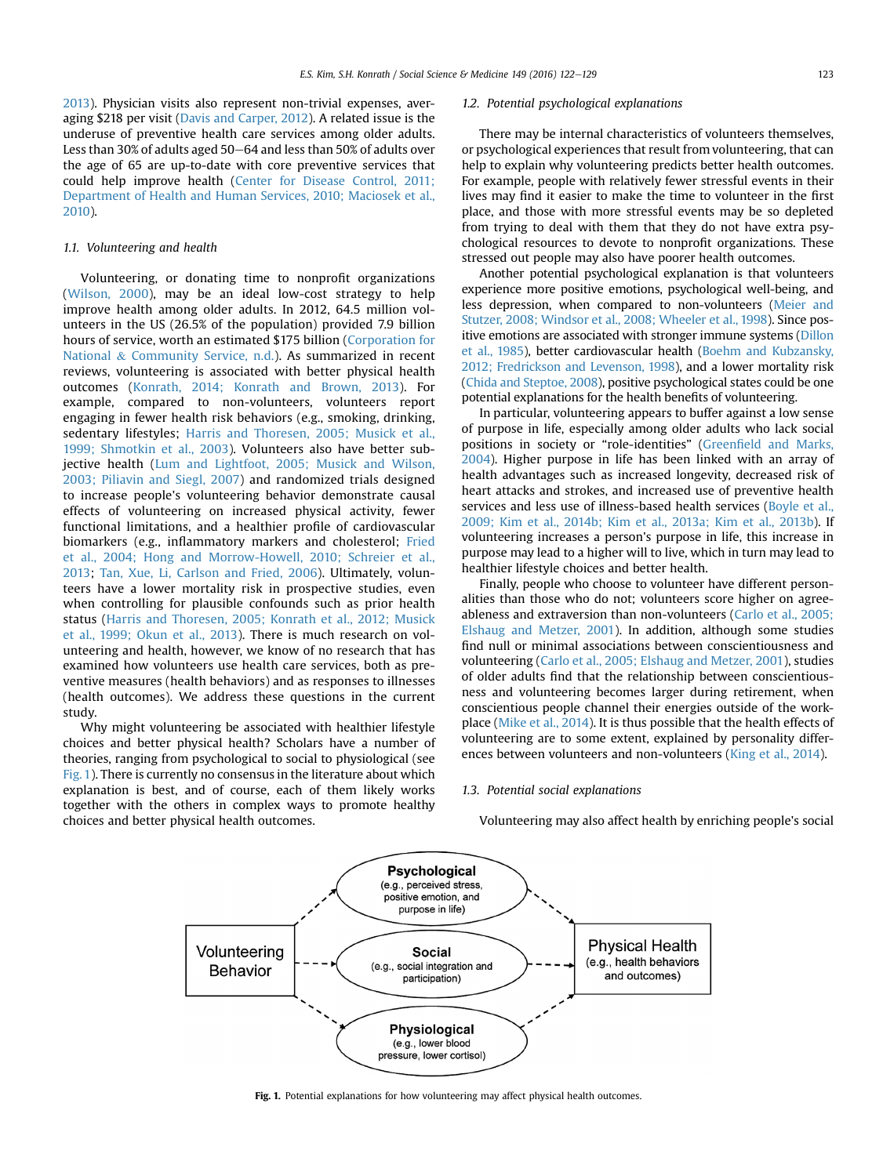<span id="page-1-0"></span>[2013\)](#page-7-0). Physician visits also represent non-trivial expenses, averaging \$218 per visit ([Davis and Carper, 2012](#page-6-0)). A related issue is the underuse of preventive health care services among older adults. Less than 30% of adults aged 50-64 and less than 50% of adults over the age of 65 are up-to-date with core preventive services that could help improve health ([Center for Disease Control, 2011;](#page-6-0) [Department of Health and Human Services, 2010; Maciosek et al.,](#page-6-0) [2010\)](#page-6-0).

## 1.1. Volunteering and health

Volunteering, or donating time to nonprofit organizations ([Wilson, 2000](#page-7-0)), may be an ideal low-cost strategy to help improve health among older adults. In 2012, 64.5 million volunteers in the US (26.5% of the population) provided 7.9 billion hours of service, worth an estimated \$175 billion ([Corporation for](#page-6-0) [National](#page-6-0) & [Community Service, n.d.](#page-6-0)). As summarized in recent reviews, volunteering is associated with better physical health outcomes ([Konrath, 2014; Konrath and Brown, 2013](#page-6-0)). For example, compared to non-volunteers, volunteers report engaging in fewer health risk behaviors (e.g., smoking, drinking, sedentary lifestyles; [Harris and Thoresen, 2005; Musick et al.,](#page-6-0) [1999; Shmotkin et al., 2003](#page-6-0)). Volunteers also have better subjective health ([Lum and Lightfoot, 2005; Musick and Wilson,](#page-6-0) [2003; Piliavin and Siegl, 2007\)](#page-6-0) and randomized trials designed to increase people's volunteering behavior demonstrate causal effects of volunteering on increased physical activity, fewer functional limitations, and a healthier profile of cardiovascular biomarkers (e.g., inflammatory markers and cholesterol; [Fried](#page-6-0) [et al., 2004; Hong and Morrow-Howell, 2010; Schreier et al.,](#page-6-0) [2013](#page-6-0); [Tan, Xue, Li, Carlson and Fried, 2006](#page-7-0)). Ultimately, volunteers have a lower mortality risk in prospective studies, even when controlling for plausible confounds such as prior health status ([Harris and Thoresen, 2005; Konrath et al., 2012; Musick](#page-6-0) [et al., 1999; Okun et al., 2013](#page-6-0)). There is much research on volunteering and health, however, we know of no research that has examined how volunteers use health care services, both as preventive measures (health behaviors) and as responses to illnesses (health outcomes). We address these questions in the current study.

Why might volunteering be associated with healthier lifestyle choices and better physical health? Scholars have a number of theories, ranging from psychological to social to physiological (see Fig. 1). There is currently no consensus in the literature about which explanation is best, and of course, each of them likely works together with the others in complex ways to promote healthy choices and better physical health outcomes.

#### 1.2. Potential psychological explanations

There may be internal characteristics of volunteers themselves, or psychological experiences that result from volunteering, that can help to explain why volunteering predicts better health outcomes. For example, people with relatively fewer stressful events in their lives may find it easier to make the time to volunteer in the first place, and those with more stressful events may be so depleted from trying to deal with them that they do not have extra psychological resources to devote to nonprofit organizations. These stressed out people may also have poorer health outcomes.

Another potential psychological explanation is that volunteers experience more positive emotions, psychological well-being, and less depression, when compared to non-volunteers [\(Meier and](#page-7-0) [Stutzer, 2008; Windsor et al., 2008; Wheeler et al., 1998\)](#page-7-0). Since positive emotions are associated with stronger immune systems [\(Dillon](#page-6-0) [et al., 1985](#page-6-0)), better cardiovascular health ([Boehm and Kubzansky,](#page-6-0) [2012; Fredrickson and Levenson, 1998](#page-6-0)), and a lower mortality risk [\(Chida and Steptoe, 2008](#page-6-0)), positive psychological states could be one potential explanations for the health benefits of volunteering.

In particular, volunteering appears to buffer against a low sense of purpose in life, especially among older adults who lack social positions in society or "role-identities" (Greenfi[eld and Marks,](#page-6-0) [2004\)](#page-6-0). Higher purpose in life has been linked with an array of health advantages such as increased longevity, decreased risk of heart attacks and strokes, and increased use of preventive health services and less use of illness-based health services ([Boyle et al.,](#page-6-0) [2009; Kim et al., 2014b; Kim et al., 2013a; Kim et al., 2013b\)](#page-6-0). If volunteering increases a person's purpose in life, this increase in purpose may lead to a higher will to live, which in turn may lead to healthier lifestyle choices and better health.

Finally, people who choose to volunteer have different personalities than those who do not; volunteers score higher on agreeableness and extraversion than non-volunteers ([Carlo et al., 2005;](#page-6-0) [Elshaug and Metzer, 2001\)](#page-6-0). In addition, although some studies find null or minimal associations between conscientiousness and volunteering ([Carlo et al., 2005; Elshaug and Metzer, 2001\)](#page-6-0), studies of older adults find that the relationship between conscientiousness and volunteering becomes larger during retirement, when conscientious people channel their energies outside of the workplace [\(Mike et al., 2014](#page-7-0)). It is thus possible that the health effects of volunteering are to some extent, explained by personality differences between volunteers and non-volunteers ([King et al., 2014](#page-6-0)).

#### 1.3. Potential social explanations

Volunteering may also affect health by enriching people's social



Fig. 1. Potential explanations for how volunteering may affect physical health outcomes.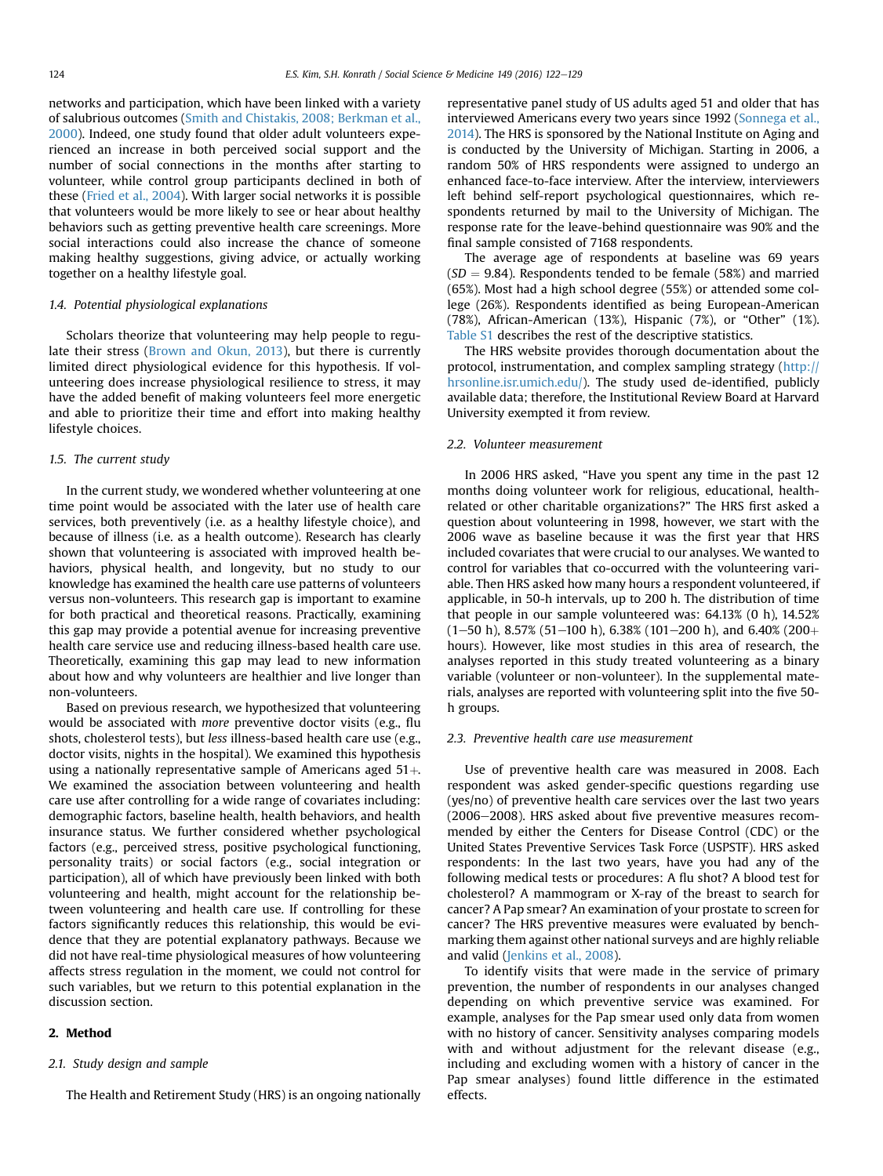networks and participation, which have been linked with a variety of salubrious outcomes [\(Smith and Chistakis, 2008; Berkman et al.,](#page-7-0) [2000](#page-7-0)). Indeed, one study found that older adult volunteers experienced an increase in both perceived social support and the number of social connections in the months after starting to volunteer, while control group participants declined in both of these ([Fried et al., 2004\)](#page-6-0). With larger social networks it is possible that volunteers would be more likely to see or hear about healthy behaviors such as getting preventive health care screenings. More social interactions could also increase the chance of someone making healthy suggestions, giving advice, or actually working together on a healthy lifestyle goal.

#### 1.4. Potential physiological explanations

Scholars theorize that volunteering may help people to regulate their stress [\(Brown and Okun, 2013\)](#page-6-0), but there is currently limited direct physiological evidence for this hypothesis. If volunteering does increase physiological resilience to stress, it may have the added benefit of making volunteers feel more energetic and able to prioritize their time and effort into making healthy lifestyle choices.

#### 1.5. The current study

In the current study, we wondered whether volunteering at one time point would be associated with the later use of health care services, both preventively (i.e. as a healthy lifestyle choice), and because of illness (i.e. as a health outcome). Research has clearly shown that volunteering is associated with improved health behaviors, physical health, and longevity, but no study to our knowledge has examined the health care use patterns of volunteers versus non-volunteers. This research gap is important to examine for both practical and theoretical reasons. Practically, examining this gap may provide a potential avenue for increasing preventive health care service use and reducing illness-based health care use. Theoretically, examining this gap may lead to new information about how and why volunteers are healthier and live longer than non-volunteers.

Based on previous research, we hypothesized that volunteering would be associated with more preventive doctor visits (e.g., flu shots, cholesterol tests), but less illness-based health care use (e.g., doctor visits, nights in the hospital). We examined this hypothesis using a nationally representative sample of Americans aged  $51+$ . We examined the association between volunteering and health care use after controlling for a wide range of covariates including: demographic factors, baseline health, health behaviors, and health insurance status. We further considered whether psychological factors (e.g., perceived stress, positive psychological functioning, personality traits) or social factors (e.g., social integration or participation), all of which have previously been linked with both volunteering and health, might account for the relationship between volunteering and health care use. If controlling for these factors significantly reduces this relationship, this would be evidence that they are potential explanatory pathways. Because we did not have real-time physiological measures of how volunteering affects stress regulation in the moment, we could not control for such variables, but we return to this potential explanation in the discussion section.

## 2. Method

#### 2.1. Study design and sample

The Health and Retirement Study (HRS) is an ongoing nationally

representative panel study of US adults aged 51 and older that has interviewed Americans every two years since 1992 ([Sonnega et al.,](#page-7-0) [2014\)](#page-7-0). The HRS is sponsored by the National Institute on Aging and is conducted by the University of Michigan. Starting in 2006, a random 50% of HRS respondents were assigned to undergo an enhanced face-to-face interview. After the interview, interviewers left behind self-report psychological questionnaires, which respondents returned by mail to the University of Michigan. The response rate for the leave-behind questionnaire was 90% and the final sample consisted of 7168 respondents.

The average age of respondents at baseline was 69 years  $(SD = 9.84)$ . Respondents tended to be female (58%) and married (65%). Most had a high school degree (55%) or attended some college (26%). Respondents identified as being European-American (78%), African-American (13%), Hispanic (7%), or "Other" (1%). Table S1 describes the rest of the descriptive statistics.

The HRS website provides thorough documentation about the protocol, instrumentation, and complex sampling strategy [\(http://](http://hrsonline.isr.umich.edu/) [hrsonline.isr.umich.edu/](http://hrsonline.isr.umich.edu/)). The study used de-identified, publicly available data; therefore, the Institutional Review Board at Harvard University exempted it from review.

#### 2.2. Volunteer measurement

In 2006 HRS asked, "Have you spent any time in the past 12 months doing volunteer work for religious, educational, healthrelated or other charitable organizations?" The HRS first asked a question about volunteering in 1998, however, we start with the 2006 wave as baseline because it was the first year that HRS included covariates that were crucial to our analyses. We wanted to control for variables that co-occurred with the volunteering variable. Then HRS asked how many hours a respondent volunteered, if applicable, in 50-h intervals, up to 200 h. The distribution of time that people in our sample volunteered was: 64.13% (0 h), 14.52%  $(1-50 h)$ , 8.57% (51-100 h), 6.38% (101-200 h), and 6.40% (200+ hours). However, like most studies in this area of research, the analyses reported in this study treated volunteering as a binary variable (volunteer or non-volunteer). In the supplemental materials, analyses are reported with volunteering split into the five 50 h groups.

## 2.3. Preventive health care use measurement

Use of preventive health care was measured in 2008. Each respondent was asked gender-specific questions regarding use (yes/no) of preventive health care services over the last two years (2006-2008). HRS asked about five preventive measures recommended by either the Centers for Disease Control (CDC) or the United States Preventive Services Task Force (USPSTF). HRS asked respondents: In the last two years, have you had any of the following medical tests or procedures: A flu shot? A blood test for cholesterol? A mammogram or X-ray of the breast to search for cancer? A Pap smear? An examination of your prostate to screen for cancer? The HRS preventive measures were evaluated by benchmarking them against other national surveys and are highly reliable and valid [\(Jenkins et al., 2008](#page-6-0)).

To identify visits that were made in the service of primary prevention, the number of respondents in our analyses changed depending on which preventive service was examined. For example, analyses for the Pap smear used only data from women with no history of cancer. Sensitivity analyses comparing models with and without adjustment for the relevant disease (e.g., including and excluding women with a history of cancer in the Pap smear analyses) found little difference in the estimated effects.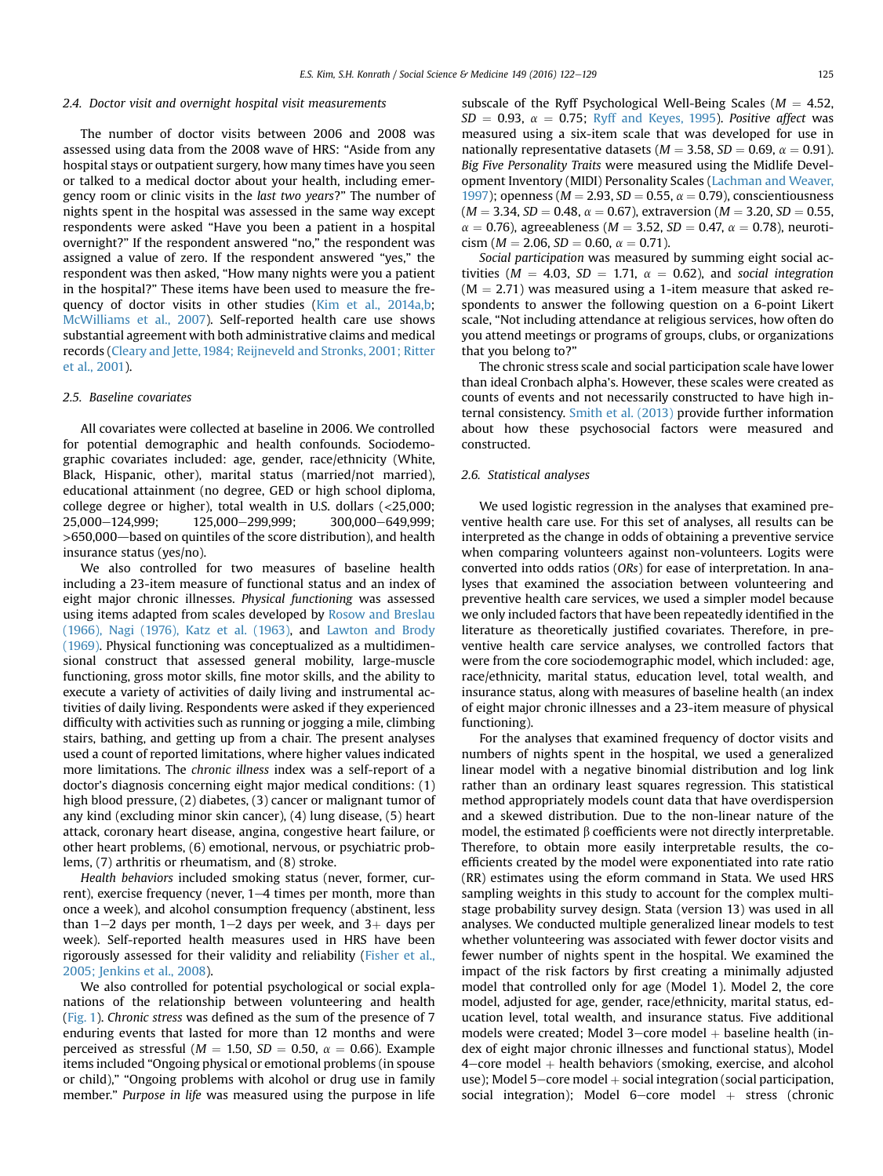#### 2.4. Doctor visit and overnight hospital visit measurements

The number of doctor visits between 2006 and 2008 was assessed using data from the 2008 wave of HRS: "Aside from any hospital stays or outpatient surgery, how many times have you seen or talked to a medical doctor about your health, including emergency room or clinic visits in the last two years?" The number of nights spent in the hospital was assessed in the same way except respondents were asked "Have you been a patient in a hospital overnight?" If the respondent answered "no," the respondent was assigned a value of zero. If the respondent answered "yes," the respondent was then asked, "How many nights were you a patient in the hospital?" These items have been used to measure the frequency of doctor visits in other studies ([Kim et al., 2014a,b;](#page-6-0) [McWilliams et al., 2007\)](#page-7-0). Self-reported health care use shows substantial agreement with both administrative claims and medical records [\(Cleary and Jette, 1984; Reijneveld and Stronks, 2001; Ritter](#page-6-0) [et al., 2001](#page-6-0)).

#### 2.5. Baseline covariates

All covariates were collected at baseline in 2006. We controlled for potential demographic and health confounds. Sociodemographic covariates included: age, gender, race/ethnicity (White, Black, Hispanic, other), marital status (married/not married), educational attainment (no degree, GED or high school diploma, college degree or higher), total wealth in U.S. dollars (<25,000; 25,000-124,999; 125,000-299,999; 300,000-649,999;  $>650,000$ —based on quintiles of the score distribution), and health insurance status (yes/no).

We also controlled for two measures of baseline health including a 23-item measure of functional status and an index of eight major chronic illnesses. Physical functioning was assessed using items adapted from scales developed by [Rosow and Breslau](#page-7-0) [\(1966\), Nagi \(1976\), Katz et al. \(1963\),](#page-7-0) and [Lawton and Brody](#page-6-0) [\(1969\)](#page-6-0). Physical functioning was conceptualized as a multidimensional construct that assessed general mobility, large-muscle functioning, gross motor skills, fine motor skills, and the ability to execute a variety of activities of daily living and instrumental activities of daily living. Respondents were asked if they experienced difficulty with activities such as running or jogging a mile, climbing stairs, bathing, and getting up from a chair. The present analyses used a count of reported limitations, where higher values indicated more limitations. The chronic illness index was a self-report of a doctor's diagnosis concerning eight major medical conditions: (1) high blood pressure, (2) diabetes, (3) cancer or malignant tumor of any kind (excluding minor skin cancer), (4) lung disease, (5) heart attack, coronary heart disease, angina, congestive heart failure, or other heart problems, (6) emotional, nervous, or psychiatric problems, (7) arthritis or rheumatism, and (8) stroke.

Health behaviors included smoking status (never, former, current), exercise frequency (never,  $1-4$  times per month, more than once a week), and alcohol consumption frequency (abstinent, less than  $1-2$  days per month,  $1-2$  days per week, and  $3+$  days per week). Self-reported health measures used in HRS have been rigorously assessed for their validity and reliability [\(Fisher et al.,](#page-6-0) [2005; Jenkins et al., 2008\)](#page-6-0).

We also controlled for potential psychological or social explanations of the relationship between volunteering and health ([Fig. 1](#page-1-0)). Chronic stress was defined as the sum of the presence of 7 enduring events that lasted for more than 12 months and were perceived as stressful ( $M = 1.50$ ,  $SD = 0.50$ ,  $\alpha = 0.66$ ). Example items included "Ongoing physical or emotional problems (in spouse or child)," "Ongoing problems with alcohol or drug use in family member." Purpose in life was measured using the purpose in life subscale of the Ryff Psychological Well-Being Scales ( $M = 4.52$ ,  $SD = 0.93$ ,  $\alpha = 0.75$ ; [Ryff and Keyes, 1995](#page-7-0)). Positive affect was measured using a six-item scale that was developed for use in nationally representative datasets ( $M = 3.58$ ,  $SD = 0.69$ ,  $\alpha = 0.91$ ). Big Five Personality Traits were measured using the Midlife Development Inventory (MIDI) Personality Scales [\(Lachman and Weaver,](#page-6-0) [1997\)](#page-6-0); openness ( $M = 2.93$ ,  $SD = 0.55$ ,  $\alpha = 0.79$ ), conscientiousness  $(M = 3.34, SD = 0.48, \alpha = 0.67)$ , extraversion  $(M = 3.20, SD = 0.55,$  $\alpha = 0.76$ ), agreeableness (M = 3.52, SD = 0.47,  $\alpha = 0.78$ ), neuroticism ( $M = 2.06$ ,  $SD = 0.60$ ,  $\alpha = 0.71$ ).

Social participation was measured by summing eight social activities ( $M = 4.03$ ,  $SD = 1.71$ ,  $\alpha = 0.62$ ), and social integration  $(M = 2.71)$  was measured using a 1-item measure that asked respondents to answer the following question on a 6-point Likert scale, "Not including attendance at religious services, how often do you attend meetings or programs of groups, clubs, or organizations that you belong to?"

The chronic stress scale and social participation scale have lower than ideal Cronbach alpha's. However, these scales were created as counts of events and not necessarily constructed to have high internal consistency. [Smith et al. \(2013\)](#page-7-0) provide further information about how these psychosocial factors were measured and constructed.

#### 2.6. Statistical analyses

We used logistic regression in the analyses that examined preventive health care use. For this set of analyses, all results can be interpreted as the change in odds of obtaining a preventive service when comparing volunteers against non-volunteers. Logits were converted into odds ratios (ORs) for ease of interpretation. In analyses that examined the association between volunteering and preventive health care services, we used a simpler model because we only included factors that have been repeatedly identified in the literature as theoretically justified covariates. Therefore, in preventive health care service analyses, we controlled factors that were from the core sociodemographic model, which included: age, race/ethnicity, marital status, education level, total wealth, and insurance status, along with measures of baseline health (an index of eight major chronic illnesses and a 23-item measure of physical functioning).

For the analyses that examined frequency of doctor visits and numbers of nights spent in the hospital, we used a generalized linear model with a negative binomial distribution and log link rather than an ordinary least squares regression. This statistical method appropriately models count data that have overdispersion and a skewed distribution. Due to the non-linear nature of the model, the estimated  $\beta$  coefficients were not directly interpretable. Therefore, to obtain more easily interpretable results, the coefficients created by the model were exponentiated into rate ratio (RR) estimates using the eform command in Stata. We used HRS sampling weights in this study to account for the complex multistage probability survey design. Stata (version 13) was used in all analyses. We conducted multiple generalized linear models to test whether volunteering was associated with fewer doctor visits and fewer number of nights spent in the hospital. We examined the impact of the risk factors by first creating a minimally adjusted model that controlled only for age (Model 1). Model 2, the core model, adjusted for age, gender, race/ethnicity, marital status, education level, total wealth, and insurance status. Five additional models were created; Model  $3$ –core model  $+$  baseline health (index of eight major chronic illnesses and functional status), Model  $4$ –core model  $+$  health behaviors (smoking, exercise, and alcohol use); Model 5-core model  $+$  social integration (social participation, social integration); Model 6-core model  $+$  stress (chronic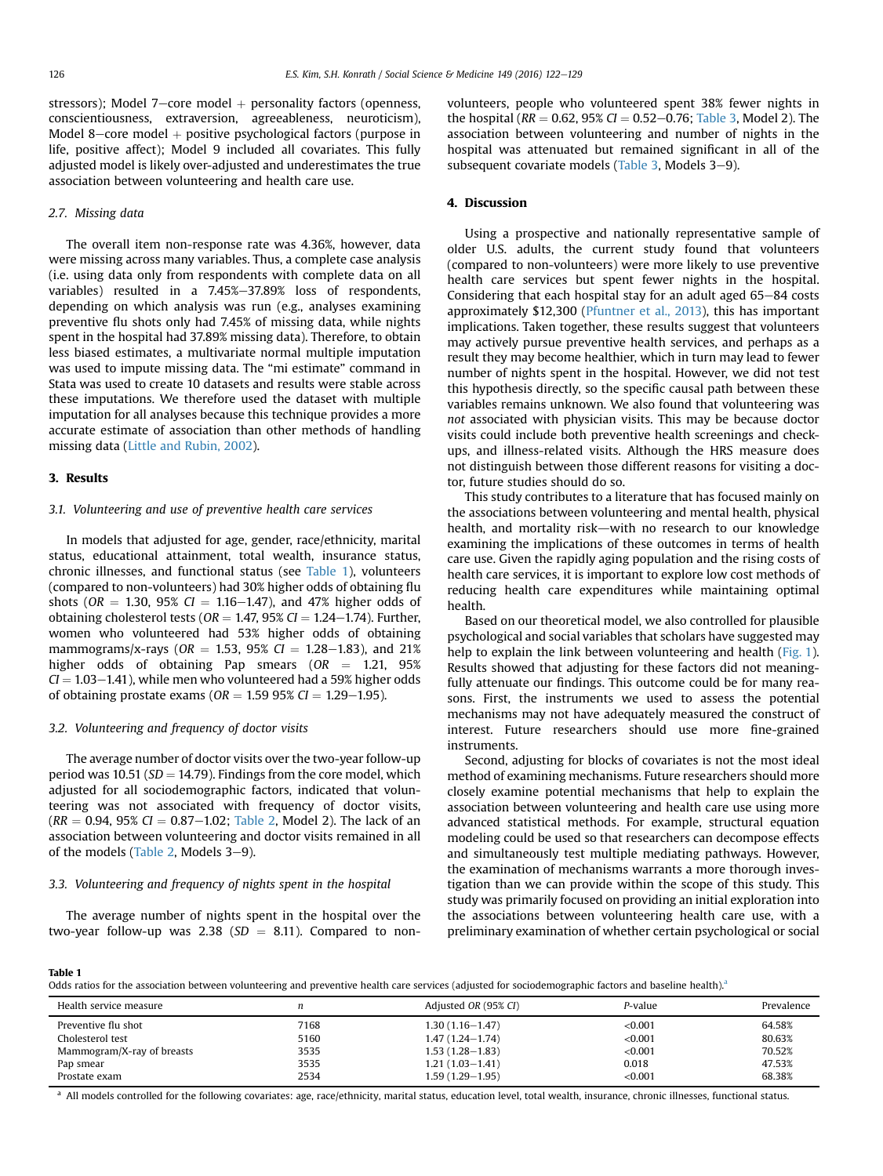stressors); Model 7-core model  $+$  personality factors (openness, conscientiousness, extraversion, agreeableness, neuroticism), Model 8-core model  $+$  positive psychological factors (purpose in life, positive affect); Model 9 included all covariates. This fully adjusted model is likely over-adjusted and underestimates the true association between volunteering and health care use.

#### 2.7. Missing data

The overall item non-response rate was 4.36%, however, data were missing across many variables. Thus, a complete case analysis (i.e. using data only from respondents with complete data on all variables) resulted in a 7.45%-37.89% loss of respondents, depending on which analysis was run (e.g., analyses examining preventive flu shots only had 7.45% of missing data, while nights spent in the hospital had 37.89% missing data). Therefore, to obtain less biased estimates, a multivariate normal multiple imputation was used to impute missing data. The "mi estimate" command in Stata was used to create 10 datasets and results were stable across these imputations. We therefore used the dataset with multiple imputation for all analyses because this technique provides a more accurate estimate of association than other methods of handling missing data [\(Little and Rubin, 2002](#page-6-0)).

#### 3. Results

#### 3.1. Volunteering and use of preventive health care services

In models that adjusted for age, gender, race/ethnicity, marital status, educational attainment, total wealth, insurance status, chronic illnesses, and functional status (see Table 1), volunteers (compared to non-volunteers) had 30% higher odds of obtaining flu shots ( $OR = 1.30$ ,  $95\% CI = 1.16-1.47$ ), and  $47\%$  higher odds of obtaining cholesterol tests ( $OR = 1.47$ , 95%  $CI = 1.24-1.74$ ). Further, women who volunteered had 53% higher odds of obtaining mammograms/x-rays ( $OR = 1.53$ ,  $95\% CI = 1.28 - 1.83$ ), and  $21\%$ higher odds of obtaining Pap smears  $(OR = 1.21, 95\%)$  $CI = 1.03-1.41$ ), while men who volunteered had a 59% higher odds of obtaining prostate exams ( $OR = 1.59$  95%  $CI = 1.29 - 1.95$ ).

## 3.2. Volunteering and frequency of doctor visits

The average number of doctor visits over the two-year follow-up period was 10.51 ( $SD = 14.79$ ). Findings from the core model, which adjusted for all sociodemographic factors, indicated that volunteering was not associated with frequency of doctor visits,  $(RR = 0.94, 95\% CI = 0.87 - 1.02$ ; [Table 2,](#page-5-0) Model 2). The lack of an association between volunteering and doctor visits remained in all of the models ([Table 2,](#page-5-0) Models  $3-9$ ).

#### 3.3. Volunteering and frequency of nights spent in the hospital

The average number of nights spent in the hospital over the two-year follow-up was 2.38 (SD  $=$  8.11). Compared to nonvolunteers, people who volunteered spent 38% fewer nights in the hospital ( $RR = 0.62$ ,  $95\% CI = 0.52 - 0.76$ ; [Table 3,](#page-5-0) Model 2). The association between volunteering and number of nights in the hospital was attenuated but remained significant in all of the subsequent covariate models (Table  $3$ , Models  $3-9$ ).

#### 4. Discussion

Using a prospective and nationally representative sample of older U.S. adults, the current study found that volunteers (compared to non-volunteers) were more likely to use preventive health care services but spent fewer nights in the hospital. Considering that each hospital stay for an adult aged  $65-84$  costs approximately \$12,300 [\(Pfuntner et al., 2013\)](#page-7-0), this has important implications. Taken together, these results suggest that volunteers may actively pursue preventive health services, and perhaps as a result they may become healthier, which in turn may lead to fewer number of nights spent in the hospital. However, we did not test this hypothesis directly, so the specific causal path between these variables remains unknown. We also found that volunteering was not associated with physician visits. This may be because doctor visits could include both preventive health screenings and checkups, and illness-related visits. Although the HRS measure does not distinguish between those different reasons for visiting a doctor, future studies should do so.

This study contributes to a literature that has focused mainly on the associations between volunteering and mental health, physical health, and mortality risk—with no research to our knowledge examining the implications of these outcomes in terms of health care use. Given the rapidly aging population and the rising costs of health care services, it is important to explore low cost methods of reducing health care expenditures while maintaining optimal health.

Based on our theoretical model, we also controlled for plausible psychological and social variables that scholars have suggested may help to explain the link between volunteering and health ([Fig. 1\)](#page-1-0). Results showed that adjusting for these factors did not meaningfully attenuate our findings. This outcome could be for many reasons. First, the instruments we used to assess the potential mechanisms may not have adequately measured the construct of interest. Future researchers should use more fine-grained instruments.

Second, adjusting for blocks of covariates is not the most ideal method of examining mechanisms. Future researchers should more closely examine potential mechanisms that help to explain the association between volunteering and health care use using more advanced statistical methods. For example, structural equation modeling could be used so that researchers can decompose effects and simultaneously test multiple mediating pathways. However, the examination of mechanisms warrants a more thorough investigation than we can provide within the scope of this study. This study was primarily focused on providing an initial exploration into the associations between volunteering health care use, with a preliminary examination of whether certain psychological or social

#### Table 1

Odds ratios for the association between volunteering and preventive health care services (adjusted for sociodemographic factors and baseline health).<sup>a</sup>

| Health service measure     | n    | Adjusted OR (95% CI) | P-value | Prevalence |
|----------------------------|------|----------------------|---------|------------|
| Preventive flu shot        | 7168 | $1.30(1.16 - 1.47)$  | < 0.001 | 64.58%     |
| Cholesterol test           | 5160 | $1.47(1.24 - 1.74)$  | < 0.001 | 80.63%     |
| Mammogram/X-ray of breasts | 3535 | $1.53(1.28 - 1.83)$  | < 0.001 | 70.52%     |
| Pap smear                  | 3535 | $1,21(1,03-1,41)$    | 0.018   | 47.53%     |
| Prostate exam              | 2534 | $1.59(1.29 - 1.95)$  | < 0.001 | 68.38%     |

<sup>a</sup> All models controlled for the following covariates: age, race/ethnicity, marital status, education level, total wealth, insurance, chronic illnesses, functional status.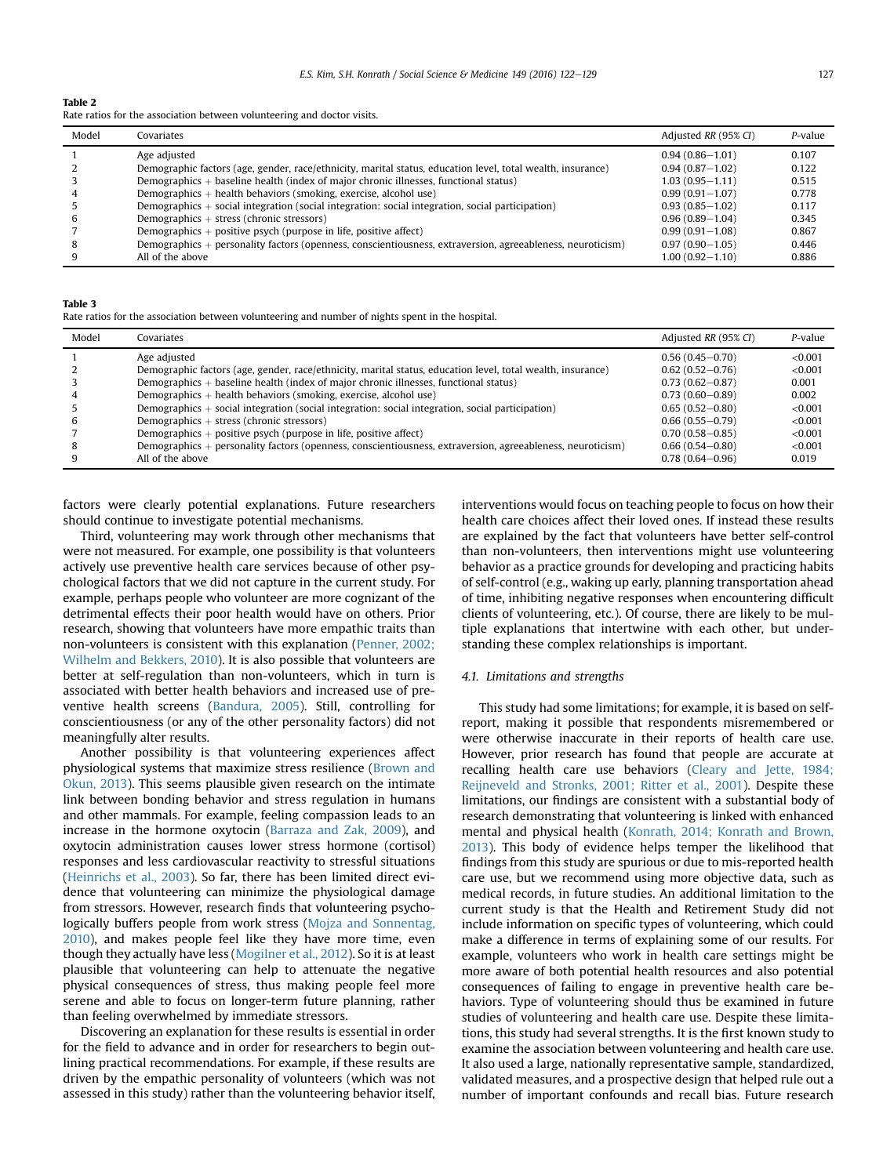<span id="page-5-0"></span>Table 2

| Rate ratios for the association between volunteering and doctor visits. |  |
|-------------------------------------------------------------------------|--|
|-------------------------------------------------------------------------|--|

| Model | Covariates                                                                                                   | Adjusted RR (95% CI) | P-value |
|-------|--------------------------------------------------------------------------------------------------------------|----------------------|---------|
|       | Age adjusted                                                                                                 | $0.94(0.86 - 1.01)$  | 0.107   |
|       | Demographic factors (age, gender, race/ethnicity, marital status, education level, total wealth, insurance)  | $0.94(0.87 - 1.02)$  | 0.122   |
|       | Demographics + baseline health (index of major chronic illnesses, functional status)                         | $1.03(0.95 - 1.11)$  | 0.515   |
|       | Demographics $+$ health behaviors (smoking, exercise, alcohol use)                                           | $0.99(0.91 - 1.07)$  | 0.778   |
|       | Demographics + social integration (social integration: social integration, social participation)             | $0.93(0.85 - 1.02)$  | 0.117   |
|       | Demographics $+$ stress (chronic stressors)                                                                  | $0.96(0.89 - 1.04)$  | 0.345   |
|       | Demographics $+$ positive psych (purpose in life, positive affect)                                           | $0.99(0.91 - 1.08)$  | 0.867   |
|       | Demographics $+$ personality factors (openness, conscientiousness, extraversion, agreeableness, neuroticism) | $0.97(0.90 - 1.05)$  | 0.446   |
|       | All of the above                                                                                             | $1.00(0.92 - 1.10)$  | 0.886   |

Table 3

| Rate ratios for the association between volunteering and number of nights spent in the hospital. |  |
|--------------------------------------------------------------------------------------------------|--|
|--------------------------------------------------------------------------------------------------|--|

| Model | Covariates                                                                                                  | Adjusted RR (95% CI) | P-value |
|-------|-------------------------------------------------------------------------------------------------------------|----------------------|---------|
|       | Age adjusted                                                                                                | $0.56(0.45 - 0.70)$  | < 0.001 |
|       | Demographic factors (age, gender, race/ethnicity, marital status, education level, total wealth, insurance) | $0.62(0.52 - 0.76)$  | < 0.001 |
|       | Demographics $+$ baseline health (index of major chronic illnesses, functional status)                      | $0.73(0.62 - 0.87)$  | 0.001   |
|       | Demographics $+$ health behaviors (smoking, exercise, alcohol use)                                          | $0.73(0.60 - 0.89)$  | 0.002   |
|       | Demographics $+$ social integration (social integration; social integration, social participation)          | $0.65(0.52 - 0.80)$  | < 0.001 |
|       | Demographics $+$ stress (chronic stressors)                                                                 | $0.66(0.55 - 0.79)$  | < 0.001 |
|       | Demographics $+$ positive psych (purpose in life, positive affect)                                          | $0.70(0.58 - 0.85)$  | <0.001  |
|       | Demographics + personality factors (openness, conscientiousness, extraversion, agreeableness, neuroticism)  | $0.66(0.54 - 0.80)$  | <0.001  |
|       | All of the above                                                                                            | $0.78(0.64 - 0.96)$  | 0.019   |

factors were clearly potential explanations. Future researchers should continue to investigate potential mechanisms.

Third, volunteering may work through other mechanisms that were not measured. For example, one possibility is that volunteers actively use preventive health care services because of other psychological factors that we did not capture in the current study. For example, perhaps people who volunteer are more cognizant of the detrimental effects their poor health would have on others. Prior research, showing that volunteers have more empathic traits than non-volunteers is consistent with this explanation ([Penner, 2002;](#page-7-0) [Wilhelm and Bekkers, 2010\)](#page-7-0). It is also possible that volunteers are better at self-regulation than non-volunteers, which in turn is associated with better health behaviors and increased use of preventive health screens ([Bandura, 2005](#page-6-0)). Still, controlling for conscientiousness (or any of the other personality factors) did not meaningfully alter results.

Another possibility is that volunteering experiences affect physiological systems that maximize stress resilience ([Brown and](#page-6-0) [Okun, 2013\)](#page-6-0). This seems plausible given research on the intimate link between bonding behavior and stress regulation in humans and other mammals. For example, feeling compassion leads to an increase in the hormone oxytocin [\(Barraza and Zak, 2009\)](#page-6-0), and oxytocin administration causes lower stress hormone (cortisol) responses and less cardiovascular reactivity to stressful situations ([Heinrichs et al., 2003](#page-6-0)). So far, there has been limited direct evidence that volunteering can minimize the physiological damage from stressors. However, research finds that volunteering psycho-logically buffers people from work stress ([Mojza and Sonnentag,](#page-7-0) [2010\)](#page-7-0), and makes people feel like they have more time, even though they actually have less [\(Mogilner et al., 2012\)](#page-7-0). So it is at least plausible that volunteering can help to attenuate the negative physical consequences of stress, thus making people feel more serene and able to focus on longer-term future planning, rather than feeling overwhelmed by immediate stressors.

Discovering an explanation for these results is essential in order for the field to advance and in order for researchers to begin outlining practical recommendations. For example, if these results are driven by the empathic personality of volunteers (which was not assessed in this study) rather than the volunteering behavior itself, interventions would focus on teaching people to focus on how their health care choices affect their loved ones. If instead these results are explained by the fact that volunteers have better self-control than non-volunteers, then interventions might use volunteering behavior as a practice grounds for developing and practicing habits of self-control (e.g., waking up early, planning transportation ahead of time, inhibiting negative responses when encountering difficult clients of volunteering, etc.). Of course, there are likely to be multiple explanations that intertwine with each other, but understanding these complex relationships is important.

#### 4.1. Limitations and strengths

This study had some limitations; for example, it is based on selfreport, making it possible that respondents misremembered or were otherwise inaccurate in their reports of health care use. However, prior research has found that people are accurate at recalling health care use behaviors ([Cleary and Jette, 1984;](#page-6-0) [Reijneveld and Stronks, 2001; Ritter et al., 2001](#page-6-0)). Despite these limitations, our findings are consistent with a substantial body of research demonstrating that volunteering is linked with enhanced mental and physical health ([Konrath, 2014; Konrath and Brown,](#page-6-0) [2013\)](#page-6-0). This body of evidence helps temper the likelihood that findings from this study are spurious or due to mis-reported health care use, but we recommend using more objective data, such as medical records, in future studies. An additional limitation to the current study is that the Health and Retirement Study did not include information on specific types of volunteering, which could make a difference in terms of explaining some of our results. For example, volunteers who work in health care settings might be more aware of both potential health resources and also potential consequences of failing to engage in preventive health care behaviors. Type of volunteering should thus be examined in future studies of volunteering and health care use. Despite these limitations, this study had several strengths. It is the first known study to examine the association between volunteering and health care use. It also used a large, nationally representative sample, standardized, validated measures, and a prospective design that helped rule out a number of important confounds and recall bias. Future research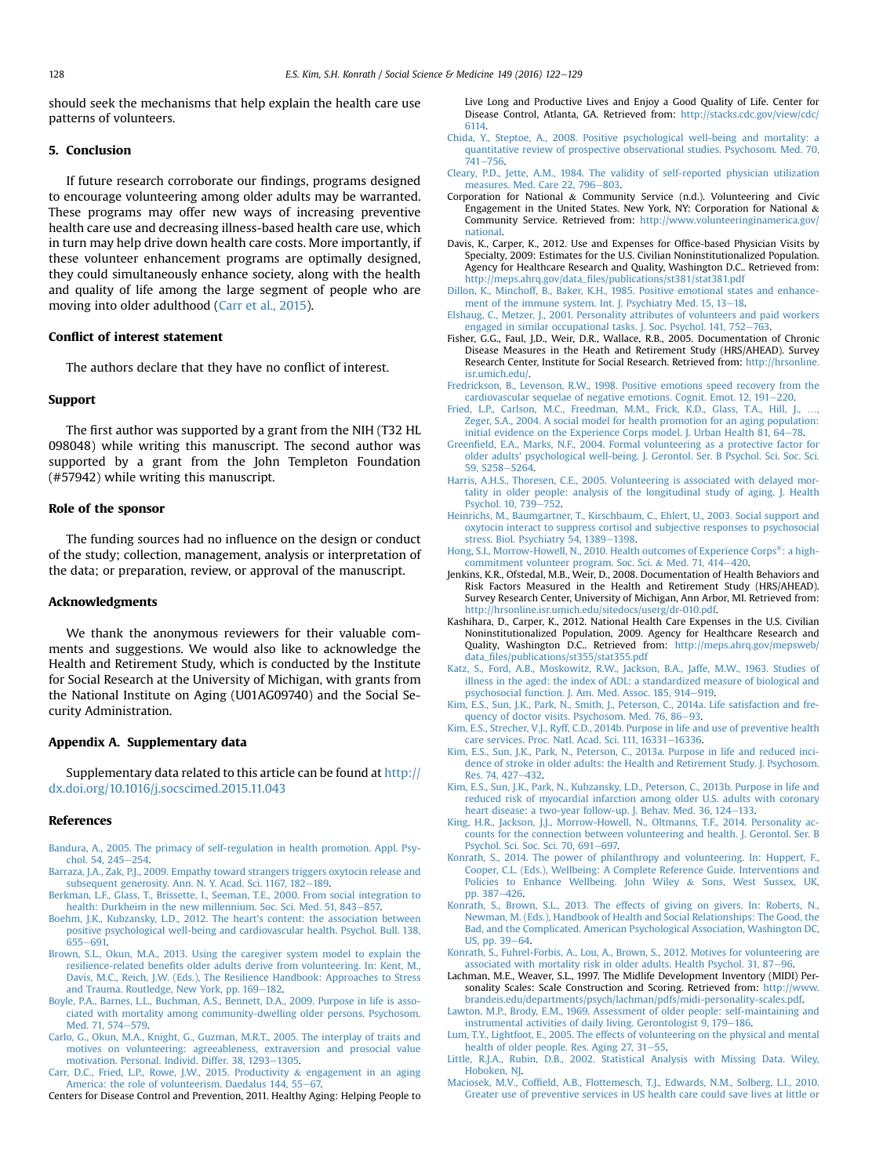<span id="page-6-0"></span>should seek the mechanisms that help explain the health care use patterns of volunteers.

## 5. Conclusion

If future research corroborate our findings, programs designed to encourage volunteering among older adults may be warranted. These programs may offer new ways of increasing preventive health care use and decreasing illness-based health care use, which in turn may help drive down health care costs. More importantly, if these volunteer enhancement programs are optimally designed, they could simultaneously enhance society, along with the health and quality of life among the large segment of people who are moving into older adulthood (Carr et al., 2015).

#### Conflict of interest statement

The authors declare that they have no conflict of interest.

#### Support

The first author was supported by a grant from the NIH (T32 HL 098048) while writing this manuscript. The second author was supported by a grant from the John Templeton Foundation (#57942) while writing this manuscript.

#### Role of the sponsor

The funding sources had no influence on the design or conduct of the study; collection, management, analysis or interpretation of the data; or preparation, review, or approval of the manuscript.

#### Acknowledgments

We thank the anonymous reviewers for their valuable comments and suggestions. We would also like to acknowledge the Health and Retirement Study, which is conducted by the Institute for Social Research at the University of Michigan, with grants from the National Institute on Aging (U01AG09740) and the Social Security Administration.

#### Appendix A. Supplementary data

Supplementary data related to this article can be found at [http://](http://dx.doi.org/10.1016/j.socscimed.2015.11.043) [dx.doi.org/10.1016/j.socscimed.2015.11.043](http://dx.doi.org/10.1016/j.socscimed.2015.11.043)

#### References

- [Bandura, A., 2005. The primacy of self-regulation in health promotion. Appl. Psy](http://refhub.elsevier.com/S0277-9536(15)30249-5/sref66)[chol. 54, 245](http://refhub.elsevier.com/S0277-9536(15)30249-5/sref66)-[254](http://refhub.elsevier.com/S0277-9536(15)30249-5/sref66).
- [Barraza, J.A., Zak, P.J., 2009. Empathy toward strangers triggers oxytocin release and](http://refhub.elsevier.com/S0277-9536(15)30249-5/sref1) [subsequent generosity. Ann. N. Y. Acad. Sci. 1167, 182](http://refhub.elsevier.com/S0277-9536(15)30249-5/sref1)-[189.](http://refhub.elsevier.com/S0277-9536(15)30249-5/sref1)
- [Berkman, L.F., Glass, T., Brissette, I., Seeman, T.E., 2000. From social integration to](http://refhub.elsevier.com/S0277-9536(15)30249-5/sref2) [health: Durkheim in the new millennium. Soc. Sci. Med. 51, 843](http://refhub.elsevier.com/S0277-9536(15)30249-5/sref2)–[857.](http://refhub.elsevier.com/S0277-9536(15)30249-5/sref2)
- [Boehm, J.K., Kubzansky, L.D., 2012. The heart's content: the association between](http://refhub.elsevier.com/S0277-9536(15)30249-5/sref3) [positive psychological well-being and cardiovascular health. Psychol. Bull. 138,](http://refhub.elsevier.com/S0277-9536(15)30249-5/sref3) [655](http://refhub.elsevier.com/S0277-9536(15)30249-5/sref3)e[691.](http://refhub.elsevier.com/S0277-9536(15)30249-5/sref3)
- [Brown, S.L., Okun, M.A., 2013. Using the caregiver system model to explain the](http://refhub.elsevier.com/S0277-9536(15)30249-5/sref4) resilience-related benefi[ts older adults derive from volunteering. In: Kent, M.,](http://refhub.elsevier.com/S0277-9536(15)30249-5/sref4) [Davis, M.C., Reich, J.W. \(Eds.\), The Resilience Handbook: Approaches to Stress](http://refhub.elsevier.com/S0277-9536(15)30249-5/sref4) [and Trauma. Routledge, New York, pp. 169](http://refhub.elsevier.com/S0277-9536(15)30249-5/sref4)-[182](http://refhub.elsevier.com/S0277-9536(15)30249-5/sref4).
- [Boyle, P.A., Barnes, L.L., Buchman, A.S., Bennett, D.A., 2009. Purpose in life is asso](http://refhub.elsevier.com/S0277-9536(15)30249-5/sref5)[ciated with mortality among community-dwelling older persons. Psychosom.](http://refhub.elsevier.com/S0277-9536(15)30249-5/sref5) [Med. 71, 574](http://refhub.elsevier.com/S0277-9536(15)30249-5/sref5)-[579](http://refhub.elsevier.com/S0277-9536(15)30249-5/sref5).
- [Carlo, G., Okun, M.A., Knight, G., Guzman, M.R.T., 2005. The interplay of traits and](http://refhub.elsevier.com/S0277-9536(15)30249-5/sref6) [motives on volunteering: agreeableness, extraversion and prosocial value](http://refhub.elsevier.com/S0277-9536(15)30249-5/sref6) [motivation. Personal. Individ. Differ. 38, 1293](http://refhub.elsevier.com/S0277-9536(15)30249-5/sref6)-[1305.](http://refhub.elsevier.com/S0277-9536(15)30249-5/sref6)
- [Carr, D.C., Fried, L.P., Rowe, J.W., 2015. Productivity](http://refhub.elsevier.com/S0277-9536(15)30249-5/sref7) & [engagement in an aging](http://refhub.elsevier.com/S0277-9536(15)30249-5/sref7) [America: the role of volunteerism. Daedalus 144, 55](http://refhub.elsevier.com/S0277-9536(15)30249-5/sref7)–[67.](http://refhub.elsevier.com/S0277-9536(15)30249-5/sref7)

Centers for Disease Control and Prevention, 2011. Healthy Aging: Helping People to

Live Long and Productive Lives and Enjoy a Good Quality of Life. Center for Disease Control, Atlanta, GA. Retrieved from: [http://stacks.cdc.gov/view/cdc/](http://stacks.cdc.gov/view/cdc/6114) [6114.](http://stacks.cdc.gov/view/cdc/6114)

- [Chida, Y., Steptoe, A., 2008. Positive psychological well-being and mortality: a](http://refhub.elsevier.com/S0277-9536(15)30249-5/sref9) [quantitative review of prospective observational studies. Psychosom. Med. 70,](http://refhub.elsevier.com/S0277-9536(15)30249-5/sref9)  $741 - 756$  $741 - 756$  $741 - 756$
- [Cleary, P.D., Jette, A.M., 1984. The validity of self-reported physician utilization](http://refhub.elsevier.com/S0277-9536(15)30249-5/sref10) [measures. Med. Care 22, 796](http://refhub.elsevier.com/S0277-9536(15)30249-5/sref10)-[803](http://refhub.elsevier.com/S0277-9536(15)30249-5/sref10).
- Corporation for National & Community Service (n.d.). Volunteering and Civic Engagement in the United States. New York, NY: Corporation for National & Community Service. Retrieved from: [http://www.volunteeringinamerica.gov/](http://www.volunteeringinamerica.gov/national) [national.](http://www.volunteeringinamerica.gov/national)
- Davis, K., Carper, K., 2012. Use and Expenses for Office-based Physician Visits by Specialty, 2009: Estimates for the U.S. Civilian Noninstitutionalized Population. Agency for Healthcare Research and Quality, Washington D.C.. Retrieved from: http://meps.ahrq.gov/data\_fi[les/publications/st381/stat381.pdf](http://meps.ahrq.gov/data_files/publications/st381/stat381.pdf)
- [Dillon, K., Minchoff, B., Baker, K.H., 1985. Positive emotional states and enhance](http://refhub.elsevier.com/S0277-9536(15)30249-5/sref13)[ment of the immune system. Int. J. Psychiatry Med. 15, 13](http://refhub.elsevier.com/S0277-9536(15)30249-5/sref13)-[18](http://refhub.elsevier.com/S0277-9536(15)30249-5/sref13).
- [Elshaug, C., Metzer, J., 2001. Personality attributes of volunteers and paid workers](http://refhub.elsevier.com/S0277-9536(15)30249-5/sref14)<br>[engaged in similar occupational tasks. J. Soc. Psychol. 141, 752](http://refhub.elsevier.com/S0277-9536(15)30249-5/sref14)–[763](http://refhub.elsevier.com/S0277-9536(15)30249-5/sref14).
- Fisher, G.G., Faul, J.D., Weir, D.R., Wallace, R.B., 2005. Documentation of Chronic Disease Measures in the Heath and Retirement Study (HRS/AHEAD). Survey Research Center, Institute for Social Research. Retrieved from: [http://hrsonline.](http://hrsonline.isr.umich.edu/) [isr.umich.edu/.](http://hrsonline.isr.umich.edu/)
- [Fredrickson, B., Levenson, R.W., 1998. Positive emotions speed recovery from the](http://refhub.elsevier.com/S0277-9536(15)30249-5/sref16) [cardiovascular sequelae of negative emotions. Cognit. Emot. 12, 191](http://refhub.elsevier.com/S0277-9536(15)30249-5/sref16)–[220.](http://refhub.elsevier.com/S0277-9536(15)30249-5/sref16)
- Fried, L.P., Carlson, M.C., Freedman, M.M., Frick, K.D., Glass, T.A., Hill, J. [Zeger, S.A., 2004. A social model for health promotion for an aging population:](http://refhub.elsevier.com/S0277-9536(15)30249-5/sref17) [initial evidence on the Experience Corps model. J. Urban Health 81, 64](http://refhub.elsevier.com/S0277-9536(15)30249-5/sref17)-[78.](http://refhub.elsevier.com/S0277-9536(15)30249-5/sref17)
- Greenfi[eld, E.A., Marks, N.F., 2004. Formal volunteering as a protective factor for](http://refhub.elsevier.com/S0277-9536(15)30249-5/sref18) [older adults' psychological well-being. J. Gerontol. Ser. B Psychol. Sci. Soc. Sci.](http://refhub.elsevier.com/S0277-9536(15)30249-5/sref18) [59, S258](http://refhub.elsevier.com/S0277-9536(15)30249-5/sref18)-[S264.](http://refhub.elsevier.com/S0277-9536(15)30249-5/sref18)
- [Harris, A.H.S., Thoresen, C.E., 2005. Volunteering is associated with delayed mor](http://refhub.elsevier.com/S0277-9536(15)30249-5/sref19)[tality in older people: analysis of the longitudinal study of aging. J. Health](http://refhub.elsevier.com/S0277-9536(15)30249-5/sref19) [Psychol. 10, 739](http://refhub.elsevier.com/S0277-9536(15)30249-5/sref19)-[752](http://refhub.elsevier.com/S0277-9536(15)30249-5/sref19).
- [Heinrichs, M., Baumgartner, T., Kirschbaum, C., Ehlert, U., 2003. Social support and](http://refhub.elsevier.com/S0277-9536(15)30249-5/sref20) [oxytocin interact to suppress cortisol and subjective responses to psychosocial](http://refhub.elsevier.com/S0277-9536(15)30249-5/sref20) [stress. Biol. Psychiatry 54, 1389](http://refhub.elsevier.com/S0277-9536(15)30249-5/sref20)-[1398](http://refhub.elsevier.com/S0277-9536(15)30249-5/sref20).
- [Hong,](http://refhub.elsevier.com/S0277-9536(15)30249-5/sref21) [S.I.,](http://refhub.elsevier.com/S0277-9536(15)30249-5/sref21) [Morrow-Howell,](http://refhub.elsevier.com/S0277-9536(15)30249-5/sref21) [N.,](http://refhub.elsevier.com/S0277-9536(15)30249-5/sref21) [2010.](http://refhub.elsevier.com/S0277-9536(15)30249-5/sref21) [Health](http://refhub.elsevier.com/S0277-9536(15)30249-5/sref21) [outcomes](http://refhub.elsevier.com/S0277-9536(15)30249-5/sref21) [of](http://refhub.elsevier.com/S0277-9536(15)30249-5/sref21) [Experience](http://refhub.elsevier.com/S0277-9536(15)30249-5/sref21) [Corps](http://refhub.elsevier.com/S0277-9536(15)30249-5/sref21)®[: a high](http://refhub.elsevier.com/S0277-9536(15)30249-5/sref21)[commitment volunteer program. Soc. Sci.](http://refhub.elsevier.com/S0277-9536(15)30249-5/sref21) & [Med. 71, 414](http://refhub.elsevier.com/S0277-9536(15)30249-5/sref21)-[420.](http://refhub.elsevier.com/S0277-9536(15)30249-5/sref21)
- Jenkins, K.R., Ofstedal, M.B., Weir, D., 2008. Documentation of Health Behaviors and Risk Factors Measured in the Health and Retirement Study (HRS/AHEAD). Survey Research Center, University of Michigan, Ann Arbor, MI. Retrieved from: <http://hrsonline.isr.umich.edu/sitedocs/userg/dr-010.pdf>.
- Kashihara, D., Carper, K., 2012. National Health Care Expenses in the U.S. Civilian Noninstitutionalized Population, 2009. Agency for Healthcare Research and Quality, Washington D.C.. Retrieved from: [http://meps.ahrq.gov/mepsweb/](http://meps.ahrq.gov/mepsweb/data_files/publications/st355/stat355.pdf) data\_fi[les/publications/st355/stat355.pdf](http://meps.ahrq.gov/mepsweb/data_files/publications/st355/stat355.pdf)
- [Katz, S., Ford, A.B., Moskowitz, R.W., Jackson, B.A., Jaffe, M.W., 1963. Studies of](http://refhub.elsevier.com/S0277-9536(15)30249-5/sref24) [illness in the aged: the index of ADL: a standardized measure of biological and](http://refhub.elsevier.com/S0277-9536(15)30249-5/sref24) [psychosocial function. J. Am. Med. Assoc. 185, 914](http://refhub.elsevier.com/S0277-9536(15)30249-5/sref24)-[919.](http://refhub.elsevier.com/S0277-9536(15)30249-5/sref24)
- [Kim, E.S., Sun, J.K., Park, N., Smith, J., Peterson, C., 2014a. Life satisfaction and fre](http://refhub.elsevier.com/S0277-9536(15)30249-5/sref25)[quency of doctor visits. Psychosom. Med. 76, 86](http://refhub.elsevier.com/S0277-9536(15)30249-5/sref25)-[93.](http://refhub.elsevier.com/S0277-9536(15)30249-5/sref25)
- [Kim, E.S., Strecher, V.J., Ryff, C.D., 2014b. Purpose in life and use of preventive health](http://refhub.elsevier.com/S0277-9536(15)30249-5/sref26) [care services. Proc. Natl. Acad. Sci. 111, 16331](http://refhub.elsevier.com/S0277-9536(15)30249-5/sref26)-[16336](http://refhub.elsevier.com/S0277-9536(15)30249-5/sref26).
- [Kim, E.S., Sun, J.K., Park, N., Peterson, C., 2013a. Purpose in life and reduced inci](http://refhub.elsevier.com/S0277-9536(15)30249-5/sref27)[dence of stroke in older adults: the Health and Retirement Study. J. Psychosom.](http://refhub.elsevier.com/S0277-9536(15)30249-5/sref27) [Res. 74, 427](http://refhub.elsevier.com/S0277-9536(15)30249-5/sref27)-[432.](http://refhub.elsevier.com/S0277-9536(15)30249-5/sref27)
- [Kim, E.S., Sun, J.K., Park, N., Kubzansky, L.D., Peterson, C., 2013b. Purpose in life and](http://refhub.elsevier.com/S0277-9536(15)30249-5/sref28) [reduced risk of myocardial infarction among older U.S. adults with coronary](http://refhub.elsevier.com/S0277-9536(15)30249-5/sref28) [heart disease: a two-year follow-up. J. Behav. Med. 36, 124](http://refhub.elsevier.com/S0277-9536(15)30249-5/sref28)-[133.](http://refhub.elsevier.com/S0277-9536(15)30249-5/sref28)
- [King, H.R., Jackson, J.J., Morrow-Howell, N., Oltmanns, T.F., 2014. Personality ac](http://refhub.elsevier.com/S0277-9536(15)30249-5/sref29)[counts for the connection between volunteering and health. J. Gerontol. Ser. B](http://refhub.elsevier.com/S0277-9536(15)30249-5/sref29) [Psychol. Sci. Soc. Sci. 70, 691](http://refhub.elsevier.com/S0277-9536(15)30249-5/sref29)-[697.](http://refhub.elsevier.com/S0277-9536(15)30249-5/sref29)
- [Konrath, S., 2014. The power of philanthropy and volunteering. In: Huppert, F.,](http://refhub.elsevier.com/S0277-9536(15)30249-5/sref30) [Cooper, C.L. \(Eds.\), Wellbeing: A Complete Reference Guide. Interventions and](http://refhub.elsevier.com/S0277-9536(15)30249-5/sref30) [Policies to Enhance Wellbeing. John Wiley](http://refhub.elsevier.com/S0277-9536(15)30249-5/sref30) & [Sons, West Sussex, UK,](http://refhub.elsevier.com/S0277-9536(15)30249-5/sref30) [pp. 387](http://refhub.elsevier.com/S0277-9536(15)30249-5/sref30)-[426.](http://refhub.elsevier.com/S0277-9536(15)30249-5/sref30)
- [Konrath, S., Brown, S.L., 2013. The effects of giving on givers. In: Roberts, N.,](http://refhub.elsevier.com/S0277-9536(15)30249-5/sref31) [Newman, M. \(Eds.\), Handbook of Health and Social Relationships: The Good, the](http://refhub.elsevier.com/S0277-9536(15)30249-5/sref31) [Bad, and the Complicated. American Psychological Association, Washington DC,](http://refhub.elsevier.com/S0277-9536(15)30249-5/sref31) US, pp.  $39 - 64$  $39 - 64$ .
- [Konrath, S., Fuhrel-Forbis, A., Lou, A., Brown, S., 2012. Motives for volunteering are](http://refhub.elsevier.com/S0277-9536(15)30249-5/sref32) [associated with mortality risk in older adults. Health Psychol. 31, 87](http://refhub.elsevier.com/S0277-9536(15)30249-5/sref32)-90.
- Lachman, M.E., Weaver, S.L., 1997. The Midlife Development Inventory (MIDI) Personality Scales: Scale Construction and Scoring. Retrieved from: [http://www.](http://www.brandeis.edu/departments/psych/lachman/pdfs/midi-personality-scales.pdf) [brandeis.edu/departments/psych/lachman/pdfs/midi-personality-scales.pdf](http://www.brandeis.edu/departments/psych/lachman/pdfs/midi-personality-scales.pdf).
- [Lawton, M.P., Brody, E.M., 1969. Assessment of older people: self-maintaining and](http://refhub.elsevier.com/S0277-9536(15)30249-5/sref34) instrumental activities of daily living. Gerontologist  $9,179-186$ .
- [Lum, T.Y., Lightfoot, E., 2005. The effects of volunteering on the physical and mental](http://refhub.elsevier.com/S0277-9536(15)30249-5/sref35) [health of older people. Res. Aging 27, 31](http://refhub.elsevier.com/S0277-9536(15)30249-5/sref35)-[55](http://refhub.elsevier.com/S0277-9536(15)30249-5/sref35).
- [Little, R.J.A., Rubin, D.B., 2002. Statistical Analysis with Missing Data. Wiley,](http://refhub.elsevier.com/S0277-9536(15)30249-5/sref36) [Hoboken, NJ.](http://refhub.elsevier.com/S0277-9536(15)30249-5/sref36)
- Maciosek, M.V., Coffi[eld, A.B., Flottemesch, T.J., Edwards, N.M., Solberg, L.I., 2010.](http://refhub.elsevier.com/S0277-9536(15)30249-5/sref37) [Greater use of preventive services in US health care could save lives at little or](http://refhub.elsevier.com/S0277-9536(15)30249-5/sref37)